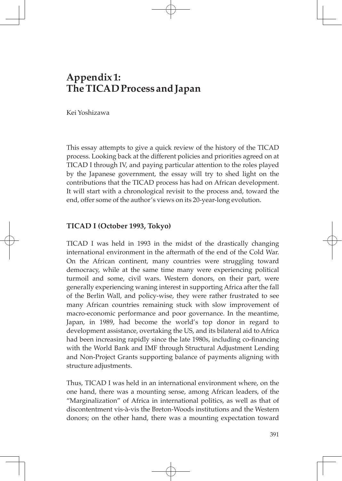# **Appendix 1: The TICAD Process and Japan**

Kei Yoshizawa

This essay attempts to give a quick review of the history of the TICAD process. Looking back at the different policies and priorities agreed on at TICAD I through IV, and paying particular attention to the roles played by the Japanese government, the essay will try to shed light on the contributions that the TICAD process has had on African development. It will start with a chronological revisit to the process and, toward the end, offer some of the author's views on its 20-year-long evolution.

## **TICAD I (October 1993, Tokyo)**

TICAD I was held in 1993 in the midst of the drastically changing international environment in the aftermath of the end of the Cold War. On the African continent, many countries were struggling toward democracy, while at the same time many were experiencing political turmoil and some, civil wars. Western donors, on their part, were generally experiencing waning interest in supporting Africa after the fall of the Berlin Wall, and policy-wise, they were rather frustrated to see many African countries remaining stuck with slow improvement of macro-economic performance and poor governance. In the meantime, Japan, in 1989, had become the world's top donor in regard to development assistance, overtaking the US, and its bilateral aid to Africa had been increasing rapidly since the late 1980s, including co-financing with the World Bank and IMF through Structural Adjustment Lending and Non-Project Grants supporting balance of payments aligning with structure adjustments.

Thus, TICAD I was held in an international environment where, on the one hand, there was a mounting sense, among African leaders, of the "Marginalization" of Africa in international politics, as well as that of discontentment vis-à-vis the Breton-Woods institutions and the Western donors; on the other hand, there was a mounting expectation toward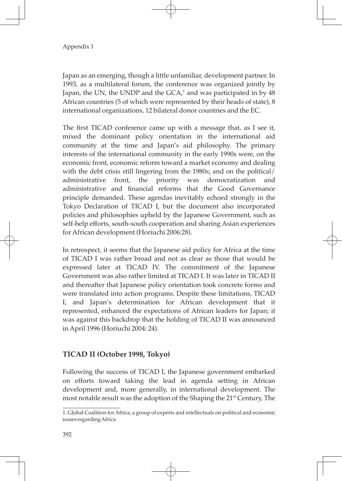Japan as an emerging, though a little unfamiliar, development partner. In 1993, as a multilateral forum, the conference was organized jointly by Japan, the UN, the UNDP and the GCA, $^1$  and was participated in by  $48$ African countries (5 of which were represented by their heads of state), 8 international organizations, 12 bilateral donor countries and the EC.

The first TICAD conference came up with a message that, as I see it, mixed the dominant policy orientation in the international aid community at the time and Japan's aid philosophy. The primary interests of the international community in the early 1990s were, on the economic front, economic reform toward a market economy and dealing with the debt crisis still lingering from the 1980s; and on the political/ administrative front, the priority was democratization and administrative and financial reforms that the Good Governance principle demanded. These agendas inevitably echoed strongly in the Tokyo Declaration of TICAD I, but the document also incorporated policies and philosophies upheld by the Japanese Government, such as self-help efforts, south-south cooperation and sharing Asian experiences for African development (Horiuchi 2006:28).

In retrospect, it seems that the Japanese aid policy for Africa at the time of TICAD I was rather broad and not as clear as those that would be expressed later at TICAD IV. The commitment of the Japanese Government was also rather limited at TICAD I. It was later in TICAD II and thereafter that Japanese policy orientation took concrete forms and were translated into action programs. Despite these limitations, TICAD I, and Japan's determination for African development that it represented, enhanced the expectations of African leaders for Japan; it was against this backdrop that the holding of TICAD II was announced in April 1996 (Horiuchi 2004: 24).

# **TICAD II (October 1998, Tokyo)**

Following the success of TICAD I, the Japanese government embarked on efforts toward taking the lead in agenda setting in African development and, more generally, in international development. The most notable result was the adoption of the Shaping the 21<sup>st</sup> Century, The

<sup>1.</sup> Global Coalition for Africa, a group of experts and intellectuals on political and economic issues regarding Africa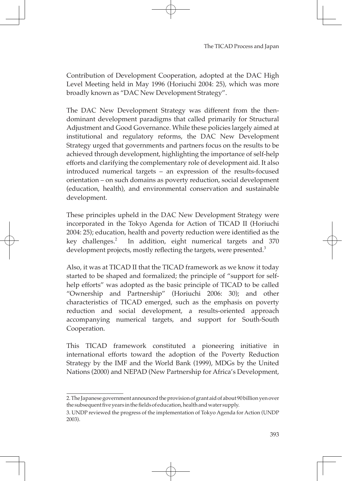Contribution of Development Cooperation, adopted at the DAC High Level Meeting held in May 1996 (Horiuchi 2004: 25), which was more broadly known as "DAC New Development Strategy".

The DAC New Development Strategy was different from the thendominant development paradigms that called primarily for Structural Adjustment and Good Governance. While these policies largely aimed at institutional and regulatory reforms, the DAC New Development Strategy urged that governments and partners focus on the results to be achieved through development, highlighting the importance of self-help efforts and clarifying the complementary role of development aid. It also introduced numerical targets – an expression of the results-focused orientation – on such domains as poverty reduction, social development (education, health), and environmental conservation and sustainable development.

These principles upheld in the DAC New Development Strategy were incorporated in the Tokyo Agenda for Action of TICAD II (Horiuchi 2004: 25); education, health and poverty reduction were identified as the key challenges.<sup>2</sup> In addition, eight numerical targets and 370 development projects, mostly reflecting the targets, were presented.<sup>3</sup>

Also, it was at TICAD II that the TICAD framework as we know it today started to be shaped and formalized; the principle of "support for selfhelp efforts" was adopted as the basic principle of TICAD to be called "Ownership and Partnership" (Horiuchi 2006: 30); and other characteristics of TICAD emerged, such as the emphasis on poverty reduction and social development, a results-oriented approach accompanying numerical targets, and support for South-South Cooperation.

This TICAD framework constituted a pioneering initiative in international efforts toward the adoption of the Poverty Reduction Strategy by the IMF and the World Bank (1999), MDGs by the United Nations (2000) and NEPAD (New Partnership for Africa's Development,

<sup>2.</sup> The Japanese government announced the provision of grant aid of about 90 billion yen over the subsequent five years in the fields of education, health and water supply.

<sup>3.</sup> UNDP reviewed the progress of the implementation of Tokyo Agenda for Action (UNDP 2003).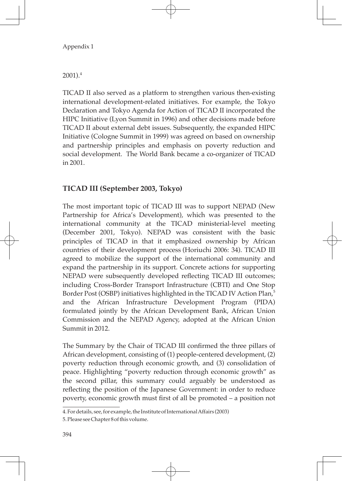2001).<sup>4</sup>

TICAD II also served as a platform to strengthen various then-existing international development-related initiatives. For example, the Tokyo Declaration and Tokyo Agenda for Action of TICAD II incorporated the HIPC Initiative (Lyon Summit in 1996) and other decisions made before TICAD II about external debt issues. Subsequently, the expanded HIPC Initiative (Cologne Summit in 1999) was agreed on based on ownership and partnership principles and emphasis on poverty reduction and social development. The World Bank became a co-organizer of TICAD in 2001.

# **TICAD III (September 2003, Tokyo)**

The most important topic of TICAD III was to support NEPAD (New Partnership for Africa's Development), which was presented to the international community at the TICAD ministerial-level meeting (December 2001, Tokyo). NEPAD was consistent with the basic principles of TICAD in that it emphasized ownership by African countries of their development process (Horiuchi 2006: 34). TICAD III agreed to mobilize the support of the international community and expand the partnership in its support. Concrete actions for supporting NEPAD were subsequently developed reflecting TICAD III outcomes; including Cross-Border Transport Infrastructure (CBTI) and One Stop Border Post (OSBP) initiatives highlighted in the TICAD IV Action Plan,<sup>5</sup> and the African Infrastructure Development Program (PIDA) formulated jointly by the African Development Bank, African Union Commission and the NEPAD Agency, adopted at the African Union Summit in 2012.

The Summary by the Chair of TICAD III confirmed the three pillars of African development, consisting of (1) people-centered development, (2) poverty reduction through economic growth, and (3) consolidation of peace. Highlighting "poverty reduction through economic growth" as the second pillar, this summary could arguably be understood as reflecting the position of the Japanese Government: in order to reduce poverty, economic growth must first of all be promoted – a position not

<sup>4.</sup> For details, see, for example, the Institute of International Affairs (2003)

<sup>5.</sup> Please see Chapter 8 of this volume.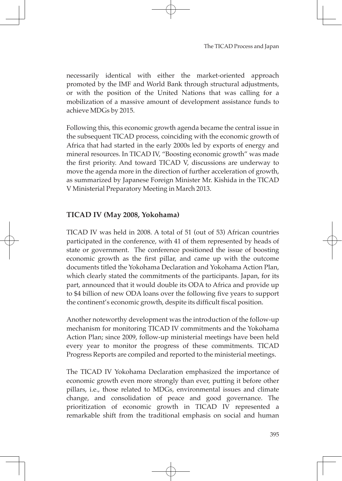necessarily identical with either the market-oriented approach promoted by the IMF and World Bank through structural adjustments, or with the position of the United Nations that was calling for a mobilization of a massive amount of development assistance funds to achieve MDGs by 2015.

Following this, this economic growth agenda became the central issue in the subsequent TICAD process, coinciding with the economic growth of Africa that had started in the early 2000s led by exports of energy and mineral resources. In TICAD IV, "Boosting economic growth" was made the first priority. And toward TICAD V, discussions are underway to move the agenda more in the direction of further acceleration of growth, as summarized by Japanese Foreign Minister Mr. Kishida in the TICAD V Ministerial Preparatory Meeting in March 2013.

# **TICAD Ⅳ (May 2008, Yokohama)**

TICAD IV was held in 2008. A total of 51 (out of 53) African countries participated in the conference, with 41 of them represented by heads of state or government. The conference positioned the issue of boosting economic growth as the first pillar, and came up with the outcome documents titled the Yokohama Declaration and Yokohama Action Plan, which clearly stated the commitments of the participants. Japan, for its part, announced that it would double its ODA to Africa and provide up to \$4 billion of new ODA loans over the following five years to support the continent's economic growth, despite its difficult fiscal position.

Another noteworthy development was the introduction of the follow-up mechanism for monitoring TICAD IV commitments and the Yokohama Action Plan; since 2009, follow-up ministerial meetings have been held every year to monitor the progress of these commitments. TICAD Progress Reports are compiled and reported to the ministerial meetings.

The TICAD IV Yokohama Declaration emphasized the importance of economic growth even more strongly than ever, putting it before other pillars, i.e., those related to MDGs, environmental issues and climate change, and consolidation of peace and good governance. The prioritization of economic growth in TICAD IV represented a remarkable shift from the traditional emphasis on social and human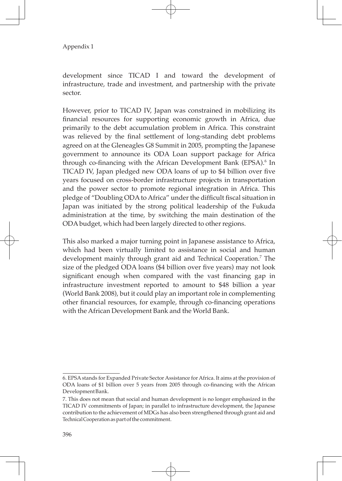development since TICAD I and toward the development of infrastructure, trade and investment, and partnership with the private sector.

However, prior to TICAD IV, Japan was constrained in mobilizing its financial resources for supporting economic growth in Africa, due primarily to the debt accumulation problem in Africa. This constraint was relieved by the final settlement of long-standing debt problems agreed on at the Gleneagles G8 Summit in 2005, prompting the Japanese government to announce its ODA Loan support package for Africa through co-financing with the African Development Bank (EPSA).<sup>6</sup> In TICAD IV, Japan pledged new ODA loans of up to \$4 billion over five years focused on cross-border infrastructure projects in transportation and the power sector to promote regional integration in Africa. This pledge of "Doubling ODA to Africa" under the difficult fiscal situation in Japan was initiated by the strong political leadership of the Fukuda administration at the time, by switching the main destination of the ODA budget, which had been largely directed to other regions.

This also marked a major turning point in Japanese assistance to Africa, which had been virtually limited to assistance in social and human development mainly through grant aid and Technical Cooperation. 7 The size of the pledged ODA loans (\$4 billion over five years) may not look significant enough when compared with the vast financing gap in infrastructure investment reported to amount to \$48 billion a year (World Bank 2008), but it could play an important role in complementing other financial resources, for example, through co-financing operations with the African Development Bank and the World Bank.

<sup>6.</sup> EPSA stands for Expanded Private Sector Assistance for Africa. It aims at the provision of ODA loans of \$1 billion over 5 years from 2005 through co-financing with the African Development Bank.

<sup>7.</sup> This does not mean that social and human development is no longer emphasized in the TICAD IV commitments of Japan; in parallel to infrastructure development, the Japanese contribution to the achievement of MDGs has also been strengthened through grant aid and Technical Cooperation as part of the commitment.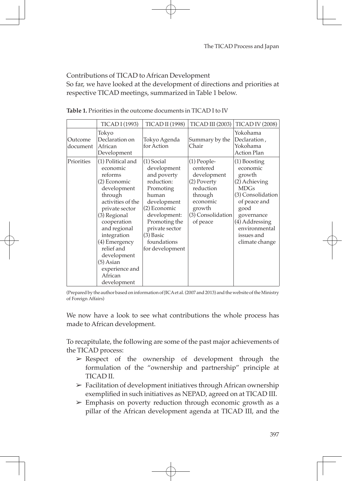#### Contributions of TICAD to African Development

So far, we have looked at the development of directions and priorities at respective TICAD meetings, summarized in Table 1 below.

|                     | <b>TICAD I (1993)</b>                                                                                                                                                                                                                                                                          | <b>TICAD II (1998)</b>                                                                                                                                                                                            | <b>TICAD III (2003)</b>                                                                                                                | <b>TICAD IV (2008)</b>                                                                                                                                                                             |
|---------------------|------------------------------------------------------------------------------------------------------------------------------------------------------------------------------------------------------------------------------------------------------------------------------------------------|-------------------------------------------------------------------------------------------------------------------------------------------------------------------------------------------------------------------|----------------------------------------------------------------------------------------------------------------------------------------|----------------------------------------------------------------------------------------------------------------------------------------------------------------------------------------------------|
| Outcome<br>document | Tokyo<br>Declaration on<br>African<br>Development                                                                                                                                                                                                                                              | Tokyo Agenda<br>for Action                                                                                                                                                                                        | Summary by the<br>Chair                                                                                                                | Yokohama<br>Declaration,<br>Yokohama<br><b>Action Plan</b>                                                                                                                                         |
| Priorities          | (1) Political and<br>economic<br>reforms<br>(2) Economic<br>development<br>through<br>activities of the<br>private sector<br>(3) Regional<br>cooperation<br>and regional<br>integration<br>(4) Emergency<br>relief and<br>development<br>(5) Asian<br>experience and<br>African<br>development | $(1)$ Social<br>development<br>and poverty<br>reduction:<br>Promoting<br>human<br>development<br>(2) Economic<br>development:<br>Promoting the<br>private sector<br>$(3)$ Basic<br>foundations<br>for development | $(1)$ People-<br>centered<br>development<br>(2) Poverty<br>reduction<br>through<br>economic<br>growth<br>(3) Consolidation<br>of peace | (1) Boosting<br>economic<br>growth<br>(2) Achieving<br><b>MDGs</b><br>(3) Consolidation<br>of peace and<br>good<br>governance<br>$(4)$ Addressing<br>environmental<br>issues and<br>climate change |

**Table 1.** Priorities in the outcome documents in TICAD I to IV

(Prepared by the author based on information of JICA et al. (2007 and 2013) and the website of the Ministry of Foreign Affairs)

We now have a look to see what contributions the whole process has made to African development.

To recapitulate, the following are some of the past major achievements of the TICAD process:

- ➢ Respect of the ownership of development through the formulation of the "ownership and partnership" principle at TICAD II.
- $\triangleright$  Facilitation of development initiatives through African ownership exemplified in such initiatives as NEPAD, agreed on at TICAD III.
- $\geq$  Emphasis on poverty reduction through economic growth as a pillar of the African development agenda at TICAD III, and the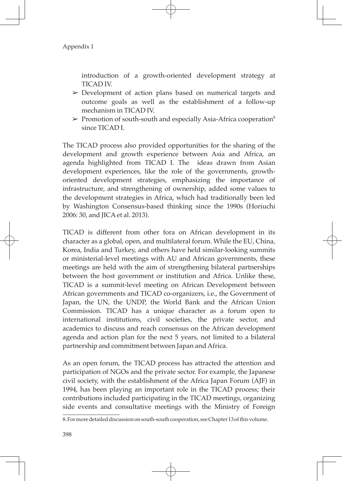introduction of a growth-oriented development strategy at TICAD IV.

- $\geq$  Development of action plans based on numerical targets and outcome goals as well as the establishment of a follow-up mechanism in TICAD IV.
- $\triangleright$  Promotion of south-south and especially Asia-Africa cooperation<sup>8</sup> since TICAD I.

The TICAD process also provided opportunities for the sharing of the development and growth experience between Asia and Africa, an agenda highlighted from TICAD I. The ideas drawn from Asian development experiences, like the role of the governments, growthoriented development strategies, emphasizing the importance of infrastructure, and strengthening of ownership, added some values to the development strategies in Africa, which had traditionally been led by Washington Consensus-based thinking since the 1990s (Horiuchi 2006: 30, and JICA et al. 2013).

TICAD is different from other fora on African development in its character as a global, open, and multilateral forum. While the EU, China, Korea, India and Turkey, and others have held similar-looking summits or ministerial-level meetings with AU and African governments, these meetings are held with the aim of strengthening bilateral partnerships between the host government or institution and Africa. Unlike these, TICAD is a summit-level meeting on African Development between African governments and TICAD co-organizers, i.e., the Government of Japan, the UN, the UNDP, the World Bank and the African Union Commission. TICAD has a unique character as a forum open to international institutions, civil societies, the private sector, and academics to discuss and reach consensus on the African development agenda and action plan for the next 5 years, not limited to a bilateral partnership and commitment between Japan and Africa.

As an open forum, the TICAD process has attracted the attention and participation of NGOs and the private sector. For example, the Japanese civil society, with the establishment of the Africa Japan Forum (AJF) in 1994, has been playing an important role in the TICAD process; their contributions included participating in the TICAD meetings, organizing side events and consultative meetings with the Ministry of Foreign

<sup>8.</sup> For more detailed discussion on south-south cooperation, see Chapter 13 of this volume.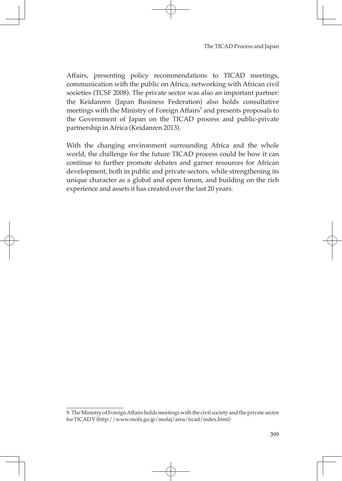Affairs, presenting policy recommendations to TICAD meetings, communication with the public on Africa, networking with African civil societies (TCSF 2008). The private sector was also an important partner: the Keidanren (Japan Business Federation) also holds consultative meetings with the Ministry of Foreign Affairs $^{\circ}$  and presents proposals to the Government of Japan on the TICAD process and public-private partnership in Africa (Keidanren 2013).

With the changing environment surrounding Africa and the whole world, the challenge for the future TICAD process could be how it can continue to further promote debates and garner resources for African development, both in public and private sectors, while strengthening its unique character as a global and open forum, and building on the rich experience and assets it has created over the last 20 years.

<sup>9.</sup> The Ministry of Foreign Affairs holds meetings with the civil society and the private sector for TICAD V (http://www.mofa.go.jp/mofaj/area/ticad/index.html)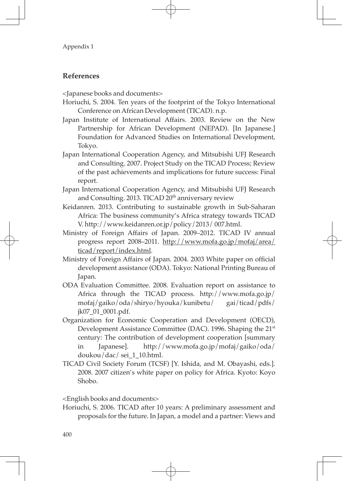## **References**

<Japanese books and documents>

- Horiuchi, S. 2004. Ten years of the footprint of the Tokyo International Conference on African Development (TICAD). n.p.
- Japan Institute of International Affairs. 2003. Review on the New Partnership for African Development (NEPAD). [In Japanese.] Foundation for Advanced Studies on International Development, Tokyo.
- Japan International Cooperation Agency, and Mitsubishi UFJ Research and Consulting. 2007. Project Study on the TICAD Process; Review of the past achievements and implications for future success: Final report.
- Japan International Cooperation Agency, and Mitsubishi UFJ Research and Consulting. 2013. TICAD 20<sup>th</sup> anniversary review
- Keidanren. 2013. Contributing to sustainable growth in Sub-Saharan Africa: The business community's Africa strategy towards TICAD V. http://www.keidanren.or.jp/policy/2013/ 007.html.
- Ministry of Foreign Affairs of Japan. 2009–2012. TICAD IV annual progress report 2008–2011. http://www.mofa.go.jp/mofaj/area/ ticad/report/index.html.
- Ministry of Foreign Affairs of Japan. 2004. 2003 White paper on official development assistance (ODA). Tokyo: National Printing Bureau of Japan.
- ODA Evaluation Committee. 2008. Evaluation report on assistance to Africa through the TICAD process. http://www.mofa.go.jp/ mofaj/gaiko/oda/shiryo/hyouka/kunibetu/ gai/ticad/pdfs/ jk07\_01\_0001.pdf.
- Organization for Economic Cooperation and Development (OECD), Development Assistance Committee (DAC). 1996. Shaping the 21<sup>st</sup> century: The contribution of development cooperation [summary in Japanese]. http://www.mofa.go.jp/mofaj/gaiko/oda/ doukou/dac/ sei\_1\_10.html.
- TICAD Civil Society Forum (TCSF) [Y. Ishida, and M. Obayashi, eds.]. 2008. 2007 citizen's white paper on policy for Africa. Kyoto: Koyo Shobo.

<English books and documents>

Horiuchi, S. 2006. TICAD after 10 years: A preliminary assessment and proposals for the future. In Japan, a model and a partner: Views and